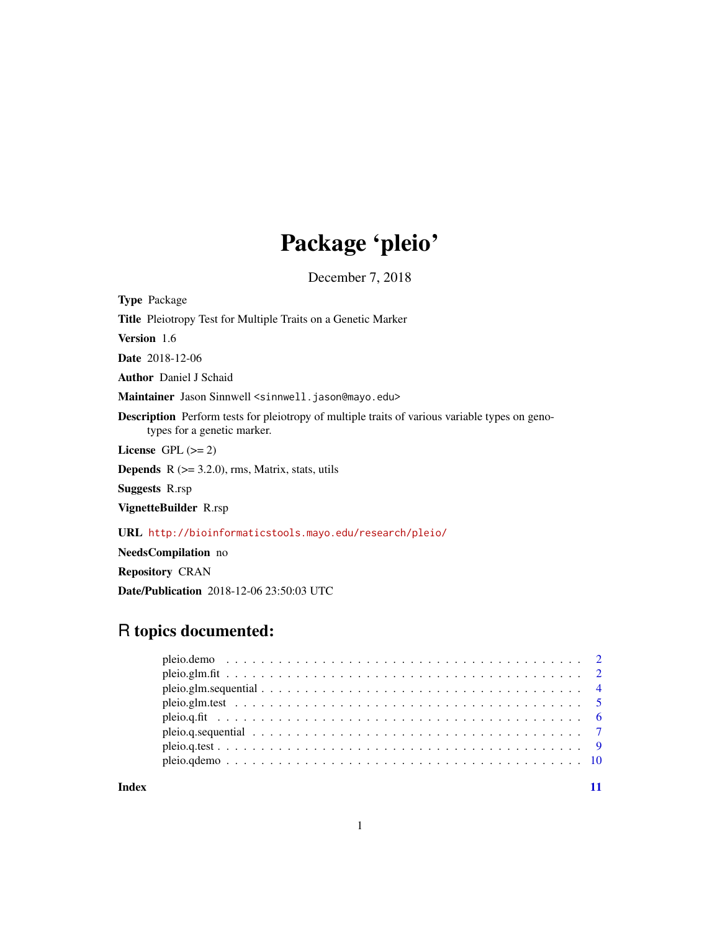## Package 'pleio'

December 7, 2018

Type Package Title Pleiotropy Test for Multiple Traits on a Genetic Marker Version 1.6 Date 2018-12-06 Author Daniel J Schaid Maintainer Jason Sinnwell <sinnwell.jason@mayo.edu> Description Perform tests for pleiotropy of multiple traits of various variable types on genotypes for a genetic marker. License GPL  $(>= 2)$ **Depends**  $R$  ( $>= 3.2.0$ ), rms, Matrix, stats, utils Suggests R.rsp VignetteBuilder R.rsp URL <http://bioinformaticstools.mayo.edu/research/pleio/> NeedsCompilation no

Repository CRAN

Date/Publication 2018-12-06 23:50:03 UTC

### R topics documented:

| Index |  |  |  |
|-------|--|--|--|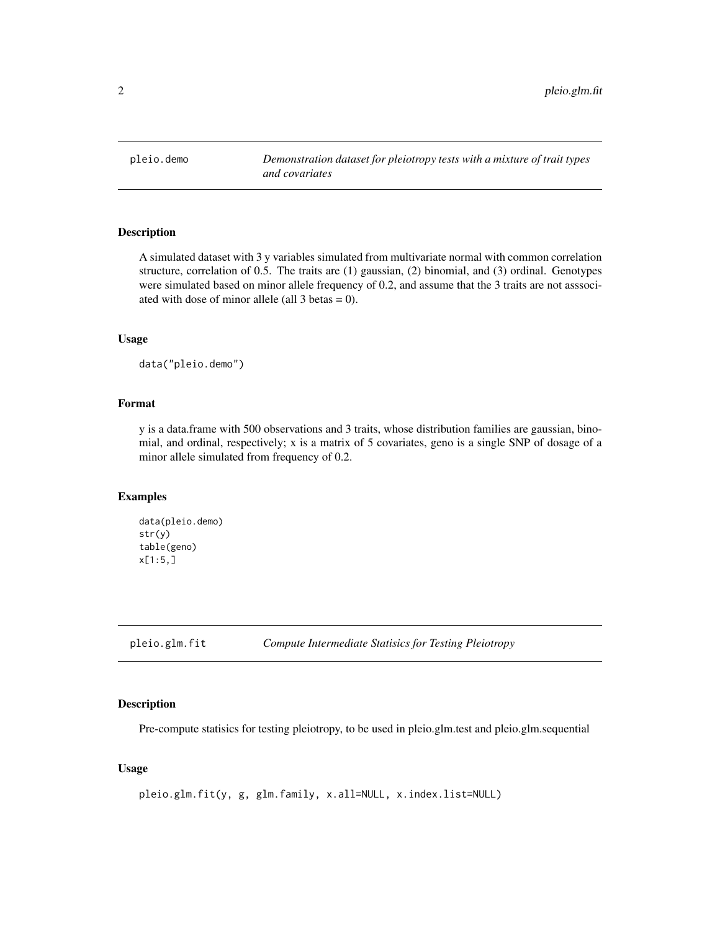<span id="page-1-0"></span>

#### Description

A simulated dataset with 3 y variables simulated from multivariate normal with common correlation structure, correlation of 0.5. The traits are (1) gaussian, (2) binomial, and (3) ordinal. Genotypes were simulated based on minor allele frequency of 0.2, and assume that the 3 traits are not asssociated with dose of minor allele (all 3 betas = 0).

#### Usage

data("pleio.demo")

#### Format

y is a data.frame with 500 observations and 3 traits, whose distribution families are gaussian, binomial, and ordinal, respectively; x is a matrix of 5 covariates, geno is a single SNP of dosage of a minor allele simulated from frequency of 0.2.

#### Examples

```
data(pleio.demo)
str(y)
table(geno)
x[1:5,]
```
pleio.glm.fit *Compute Intermediate Statisics for Testing Pleiotropy*

#### Description

Pre-compute statisics for testing pleiotropy, to be used in pleio.glm.test and pleio.glm.sequential

#### Usage

```
pleio.glm.fit(y, g, glm.family, x.all=NULL, x.index.list=NULL)
```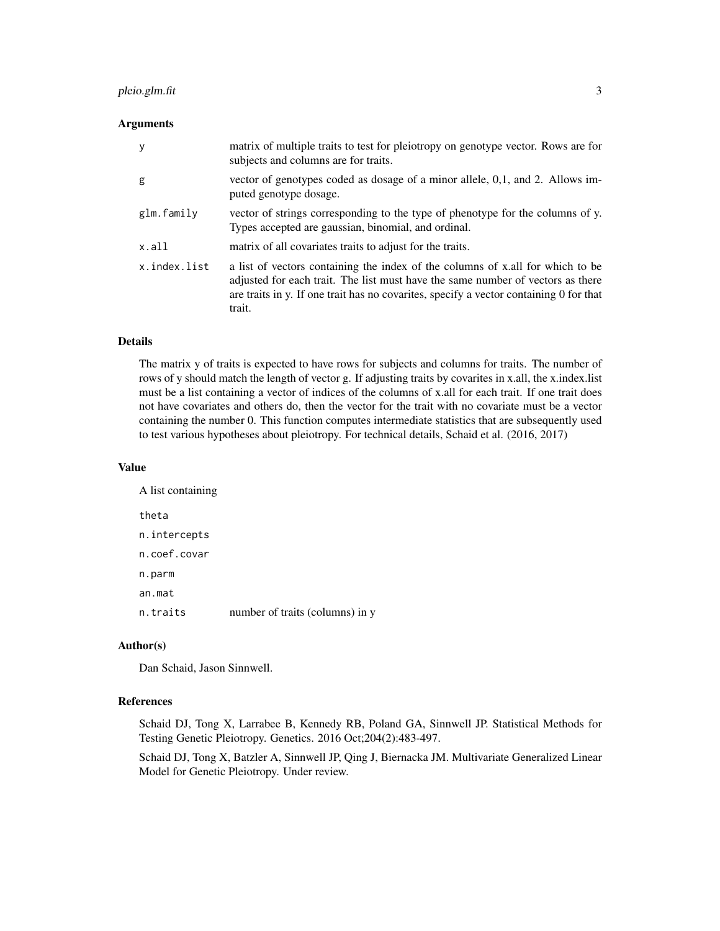#### pleio.glm.fit 3

#### **Arguments**

| y            | matrix of multiple traits to test for pleiotropy on genotype vector. Rows are for<br>subjects and columns are for traits.                                                                                                                                              |
|--------------|------------------------------------------------------------------------------------------------------------------------------------------------------------------------------------------------------------------------------------------------------------------------|
| g            | vector of genotypes coded as dosage of a minor allele, 0,1, and 2. Allows im-<br>puted genotype dosage.                                                                                                                                                                |
| glm.family   | vector of strings corresponding to the type of phenotype for the columns of y.<br>Types accepted are gaussian, binomial, and ordinal.                                                                                                                                  |
| x.all        | matrix of all covariates traits to adjust for the traits.                                                                                                                                                                                                              |
| x.index.list | a list of vectors containing the index of the columns of x all for which to be<br>adjusted for each trait. The list must have the same number of vectors as there<br>are traits in y. If one trait has no covarities, specify a vector containing 0 for that<br>trait. |

#### Details

The matrix y of traits is expected to have rows for subjects and columns for traits. The number of rows of y should match the length of vector g. If adjusting traits by covarites in x.all, the x.index.list must be a list containing a vector of indices of the columns of x.all for each trait. If one trait does not have covariates and others do, then the vector for the trait with no covariate must be a vector containing the number 0. This function computes intermediate statistics that are subsequently used to test various hypotheses about pleiotropy. For technical details, Schaid et al. (2016, 2017)

#### Value

| A list containing |                                 |
|-------------------|---------------------------------|
| theta             |                                 |
| n.intercepts      |                                 |
| n.coef.covar      |                                 |
| n.parm            |                                 |
| an.mat            |                                 |
| n.traits          | number of traits (columns) in y |

#### Author(s)

Dan Schaid, Jason Sinnwell.

#### References

Schaid DJ, Tong X, Larrabee B, Kennedy RB, Poland GA, Sinnwell JP. Statistical Methods for Testing Genetic Pleiotropy. Genetics. 2016 Oct;204(2):483-497.

Schaid DJ, Tong X, Batzler A, Sinnwell JP, Qing J, Biernacka JM. Multivariate Generalized Linear Model for Genetic Pleiotropy. Under review.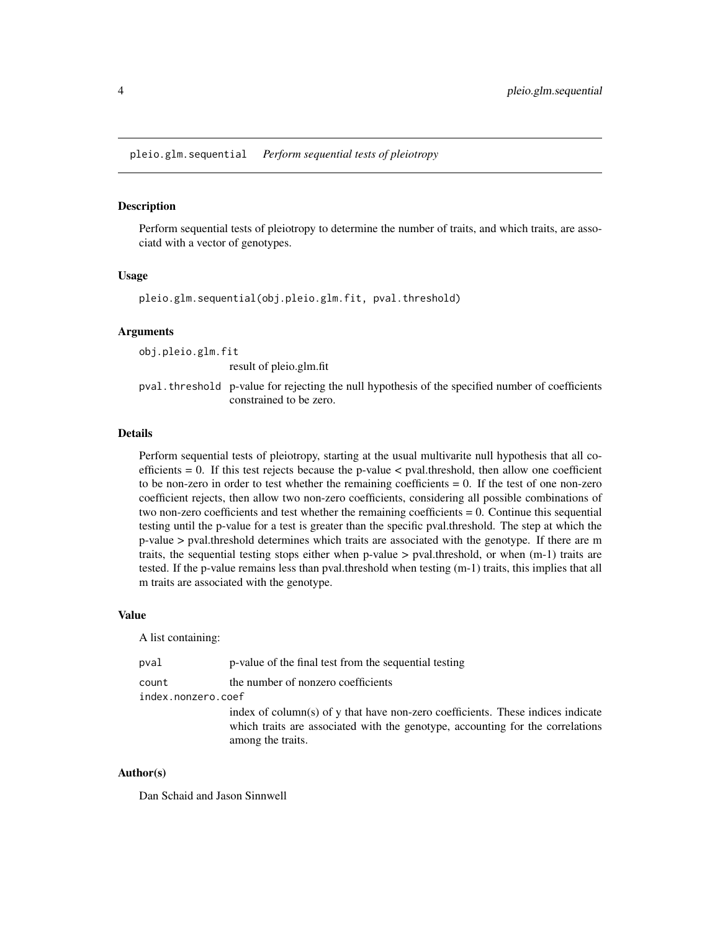<span id="page-3-0"></span>pleio.glm.sequential *Perform sequential tests of pleiotropy*

#### **Description**

Perform sequential tests of pleiotropy to determine the number of traits, and which traits, are associatd with a vector of genotypes.

#### Usage

pleio.glm.sequential(obj.pleio.glm.fit, pval.threshold)

#### Arguments

obj.pleio.glm.fit result of pleio.glm.fit pval.threshold p-value for rejecting the null hypothesis of the specified number of coefficients constrained to be zero.

#### Details

Perform sequential tests of pleiotropy, starting at the usual multivarite null hypothesis that all coefficients  $= 0$ . If this test rejects because the p-value  $\lt$  pval.threshold, then allow one coefficient to be non-zero in order to test whether the remaining coefficients = 0. If the test of one non-zero coefficient rejects, then allow two non-zero coefficients, considering all possible combinations of two non-zero coefficients and test whether the remaining coefficients = 0. Continue this sequential testing until the p-value for a test is greater than the specific pval.threshold. The step at which the p-value > pval.threshold determines which traits are associated with the genotype. If there are m traits, the sequential testing stops either when p-value > pval.threshold, or when (m-1) traits are tested. If the p-value remains less than pval.threshold when testing (m-1) traits, this implies that all m traits are associated with the genotype.

#### Value

A list containing:

| pval               | p-value of the final test from the sequential testing                                                                                                                                  |
|--------------------|----------------------------------------------------------------------------------------------------------------------------------------------------------------------------------------|
| count              | the number of nonzero coefficients                                                                                                                                                     |
| index.nonzero.coef |                                                                                                                                                                                        |
|                    | index of column(s) of y that have non-zero coefficients. These indices indicate<br>which traits are associated with the genotype, accounting for the correlations<br>among the traits. |

#### Author(s)

Dan Schaid and Jason Sinnwell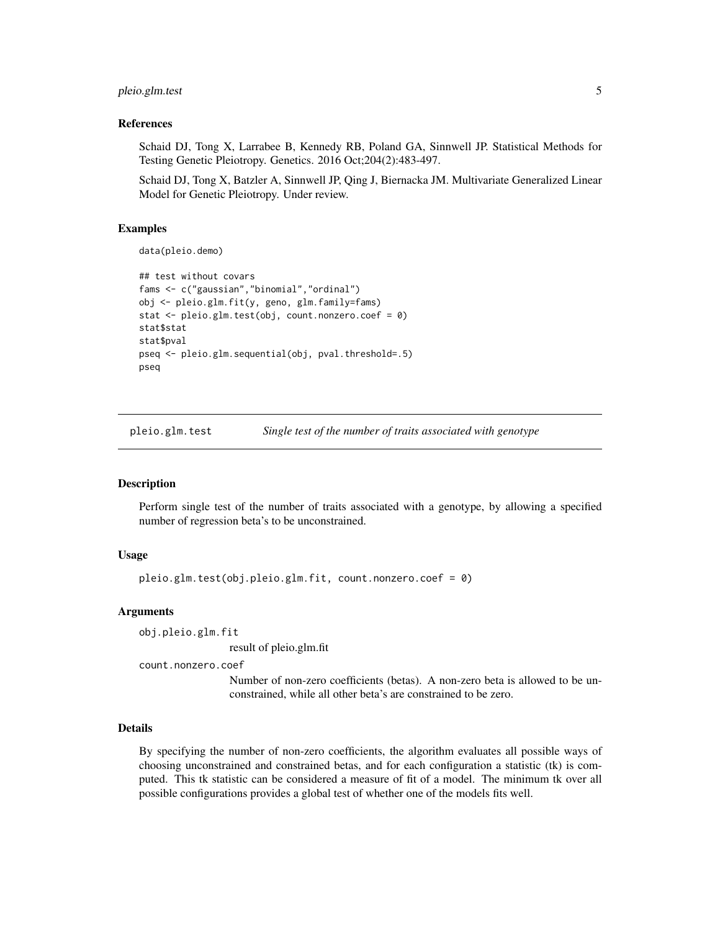#### <span id="page-4-0"></span>pleio.glm.test 5

#### References

Schaid DJ, Tong X, Larrabee B, Kennedy RB, Poland GA, Sinnwell JP. Statistical Methods for Testing Genetic Pleiotropy. Genetics. 2016 Oct;204(2):483-497.

Schaid DJ, Tong X, Batzler A, Sinnwell JP, Qing J, Biernacka JM. Multivariate Generalized Linear Model for Genetic Pleiotropy. Under review.

#### Examples

data(pleio.demo)

```
## test without covars
fams <- c("gaussian","binomial","ordinal")
obj <- pleio.glm.fit(y, geno, glm.family=fams)
stat <- pleio.glm.test(obj, count.nonzero.coef = 0)
stat$stat
stat$pval
pseq <- pleio.glm.sequential(obj, pval.threshold=.5)
pseq
```
pleio.glm.test *Single test of the number of traits associated with genotype*

#### **Description**

Perform single test of the number of traits associated with a genotype, by allowing a specified number of regression beta's to be unconstrained.

#### Usage

pleio.glm.test(obj.pleio.glm.fit, count.nonzero.coef = 0)

#### Arguments

obj.pleio.glm.fit

result of pleio.glm.fit

count.nonzero.coef

Number of non-zero coefficients (betas). A non-zero beta is allowed to be unconstrained, while all other beta's are constrained to be zero.

#### Details

By specifying the number of non-zero coefficients, the algorithm evaluates all possible ways of choosing unconstrained and constrained betas, and for each configuration a statistic (tk) is computed. This tk statistic can be considered a measure of fit of a model. The minimum tk over all possible configurations provides a global test of whether one of the models fits well.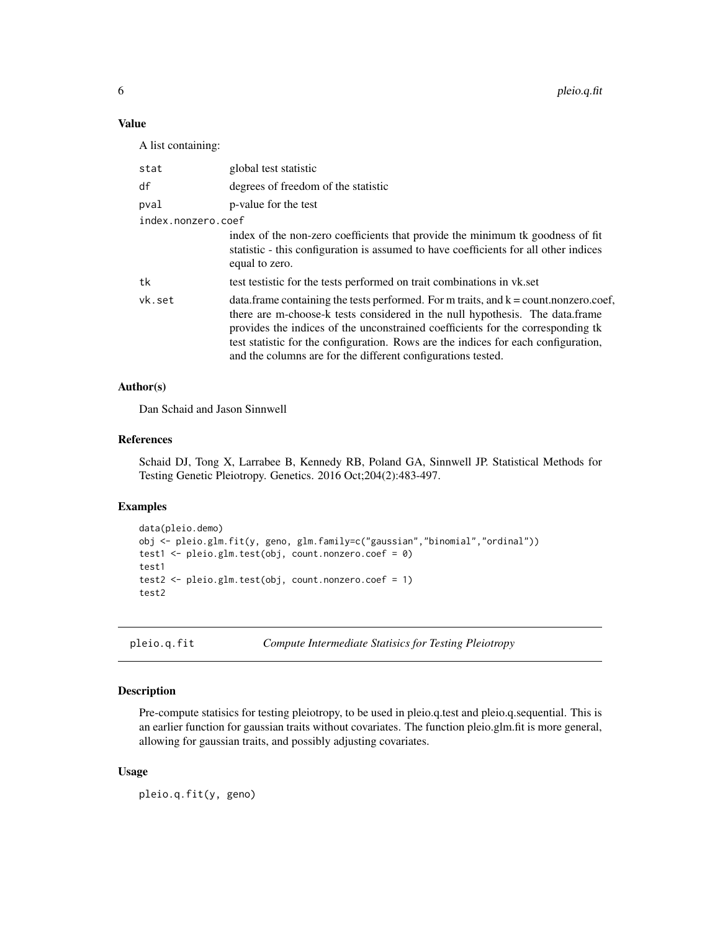#### Value

A list containing:

| stat               | global test statistic                                                                                                                                                                                                                                                                                                                                                                                             |
|--------------------|-------------------------------------------------------------------------------------------------------------------------------------------------------------------------------------------------------------------------------------------------------------------------------------------------------------------------------------------------------------------------------------------------------------------|
| df                 | degrees of freedom of the statistic                                                                                                                                                                                                                                                                                                                                                                               |
| pval               | p-value for the test                                                                                                                                                                                                                                                                                                                                                                                              |
| index.nonzero.coef |                                                                                                                                                                                                                                                                                                                                                                                                                   |
|                    | index of the non-zero coefficients that provide the minimum tk goodness of fit<br>statistic - this configuration is assumed to have coefficients for all other indices<br>equal to zero.                                                                                                                                                                                                                          |
| tk                 | test test test for the tests performed on trait combinations in vk.set                                                                                                                                                                                                                                                                                                                                            |
| vk.set             | data. frame containing the tests performed. For m traits, and $k = count.nonzero.coef$ ,<br>there are m-choose-k tests considered in the null hypothesis. The data.frame<br>provides the indices of the unconstrained coefficients for the corresponding tk<br>test statistic for the configuration. Rows are the indices for each configuration,<br>and the columns are for the different configurations tested. |

#### Author(s)

Dan Schaid and Jason Sinnwell

#### References

Schaid DJ, Tong X, Larrabee B, Kennedy RB, Poland GA, Sinnwell JP. Statistical Methods for Testing Genetic Pleiotropy. Genetics. 2016 Oct;204(2):483-497.

#### Examples

```
data(pleio.demo)
obj <- pleio.glm.fit(y, geno, glm.family=c("gaussian","binomial","ordinal"))
test1 <- pleio.glm.test(obj, count.nonzero.coef = 0)
test1
test2 <- pleio.glm.test(obj, count.nonzero.coef = 1)
test2
```
pleio.q.fit *Compute Intermediate Statisics for Testing Pleiotropy*

#### Description

Pre-compute statisics for testing pleiotropy, to be used in pleio.q.test and pleio.q.sequential. This is an earlier function for gaussian traits without covariates. The function pleio.glm.fit is more general, allowing for gaussian traits, and possibly adjusting covariates.

#### Usage

pleio.q.fit(y, geno)

<span id="page-5-0"></span>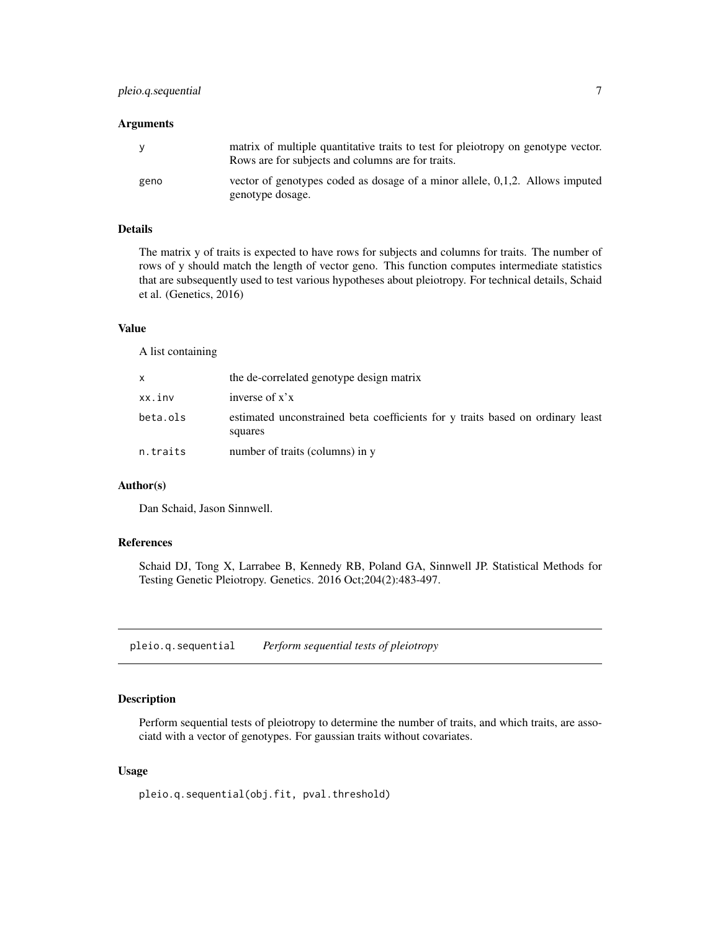#### <span id="page-6-0"></span>Arguments

| <b>V</b> | matrix of multiple quantitative traits to test for pleiotropy on genotype vector.<br>Rows are for subjects and columns are for traits. |
|----------|----------------------------------------------------------------------------------------------------------------------------------------|
| geno     | vector of genotypes coded as dosage of a minor allele, 0,1,2. Allows imputed<br>genotype dosage.                                       |

#### Details

The matrix y of traits is expected to have rows for subjects and columns for traits. The number of rows of y should match the length of vector geno. This function computes intermediate statistics that are subsequently used to test various hypotheses about pleiotropy. For technical details, Schaid et al. (Genetics, 2016)

#### Value

A list containing

| X        | the de-correlated genotype design matrix                                                  |
|----------|-------------------------------------------------------------------------------------------|
| xx.inv   | inverse of $x'x$                                                                          |
| beta.ols | estimated unconstrained beta coefficients for y traits based on ordinary least<br>squares |
| n.traits | number of traits (columns) in y                                                           |

#### Author(s)

Dan Schaid, Jason Sinnwell.

#### References

Schaid DJ, Tong X, Larrabee B, Kennedy RB, Poland GA, Sinnwell JP. Statistical Methods for Testing Genetic Pleiotropy. Genetics. 2016 Oct;204(2):483-497.

pleio.q.sequential *Perform sequential tests of pleiotropy*

#### Description

Perform sequential tests of pleiotropy to determine the number of traits, and which traits, are associatd with a vector of genotypes. For gaussian traits without covariates.

#### Usage

pleio.q.sequential(obj.fit, pval.threshold)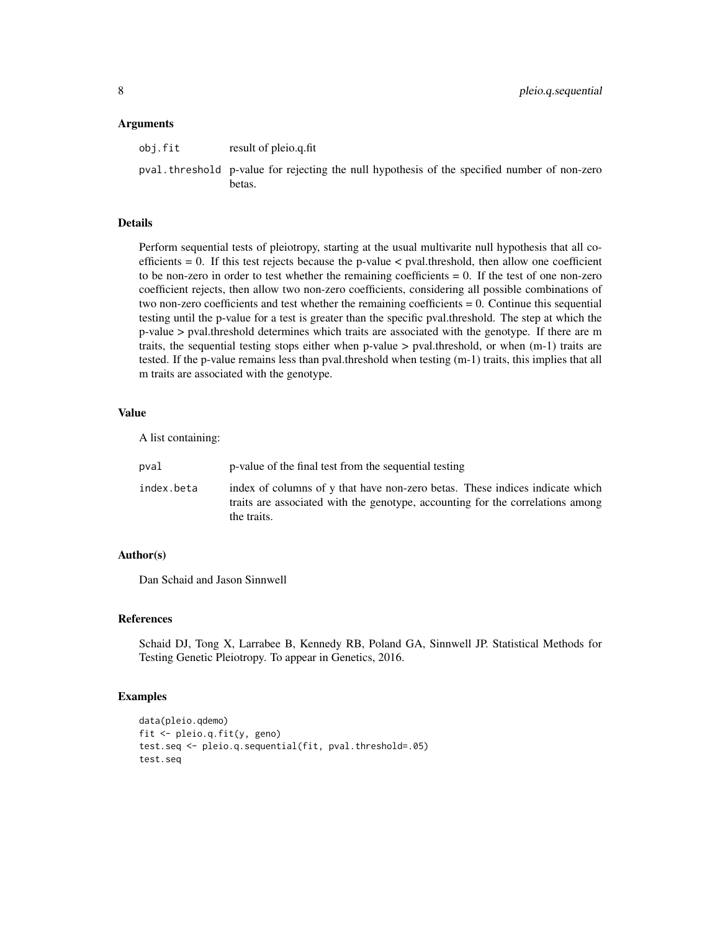#### Arguments

| obj.fit | result of pleio.q.fit |
|---------|-----------------------|
|         |                       |

pval.threshold p-value for rejecting the null hypothesis of the specified number of non-zero betas.

#### Details

Perform sequential tests of pleiotropy, starting at the usual multivarite null hypothesis that all coefficients  $= 0$ . If this test rejects because the p-value  $\lt$  pval.threshold, then allow one coefficient to be non-zero in order to test whether the remaining coefficients  $= 0$ . If the test of one non-zero coefficient rejects, then allow two non-zero coefficients, considering all possible combinations of two non-zero coefficients and test whether the remaining coefficients = 0. Continue this sequential testing until the p-value for a test is greater than the specific pval.threshold. The step at which the p-value > pval.threshold determines which traits are associated with the genotype. If there are m traits, the sequential testing stops either when p-value > pval.threshold, or when (m-1) traits are tested. If the p-value remains less than pval.threshold when testing (m-1) traits, this implies that all m traits are associated with the genotype.

#### Value

A list containing:

| pval       | p-value of the final test from the sequential testing                                                                                                                         |
|------------|-------------------------------------------------------------------------------------------------------------------------------------------------------------------------------|
| index.beta | index of columns of y that have non-zero betas. These indices indicate which<br>traits are associated with the genotype, accounting for the correlations among<br>the traits. |

#### Author(s)

Dan Schaid and Jason Sinnwell

#### References

Schaid DJ, Tong X, Larrabee B, Kennedy RB, Poland GA, Sinnwell JP. Statistical Methods for Testing Genetic Pleiotropy. To appear in Genetics, 2016.

#### Examples

```
data(pleio.qdemo)
fit <- pleio.q.fit(y, geno)
test.seq <- pleio.q.sequential(fit, pval.threshold=.05)
test.seq
```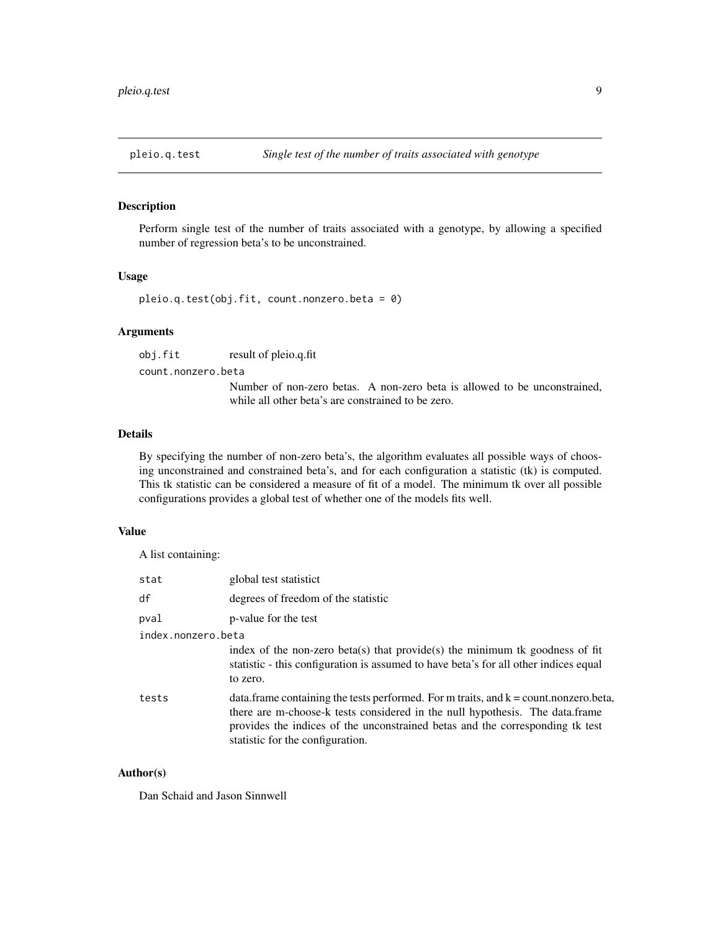<span id="page-8-0"></span>

#### Description

Perform single test of the number of traits associated with a genotype, by allowing a specified number of regression beta's to be unconstrained.

#### Usage

```
pleio.q.test(obj.fit, count.nonzero.beta = 0)
```
#### Arguments

obj.fit result of pleio.q.fit

count.nonzero.beta

Number of non-zero betas. A non-zero beta is allowed to be unconstrained, while all other beta's are constrained to be zero.

#### Details

By specifying the number of non-zero beta's, the algorithm evaluates all possible ways of choosing unconstrained and constrained beta's, and for each configuration a statistic (tk) is computed. This tk statistic can be considered a measure of fit of a model. The minimum tk over all possible configurations provides a global test of whether one of the models fits well.

#### Value

A list containing:

| stat               | global test statistict                                                                                                                                                                                                                                                                         |
|--------------------|------------------------------------------------------------------------------------------------------------------------------------------------------------------------------------------------------------------------------------------------------------------------------------------------|
| df                 | degrees of freedom of the statistic                                                                                                                                                                                                                                                            |
| pval               | p-value for the test                                                                                                                                                                                                                                                                           |
| index.nonzero.beta |                                                                                                                                                                                                                                                                                                |
|                    | index of the non-zero beta(s) that provide(s) the minimum tk goodness of fit<br>statistic - this configuration is assumed to have beta's for all other indices equal<br>to zero.                                                                                                               |
| tests              | data. frame containing the tests performed. For m traits, and $k =$ count. nonzero. beta,<br>there are m-choose-k tests considered in the null hypothesis. The data.frame<br>provides the indices of the unconstrained betas and the corresponding tk test<br>statistic for the configuration. |

#### Author(s)

Dan Schaid and Jason Sinnwell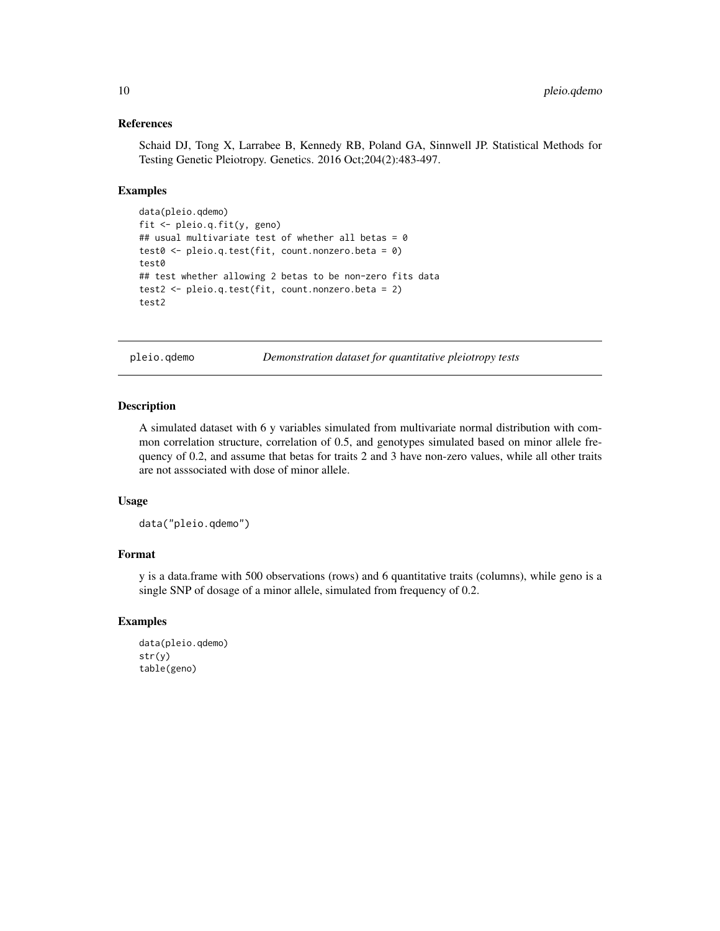#### References

Schaid DJ, Tong X, Larrabee B, Kennedy RB, Poland GA, Sinnwell JP. Statistical Methods for Testing Genetic Pleiotropy. Genetics. 2016 Oct;204(2):483-497.

#### Examples

```
data(pleio.qdemo)
fit <- pleio.q.fit(y, geno)
## usual multivariate test of whether all betas = 0
test0 <- pleio.q.test(fit, count.nonzero.beta = 0)
test0
## test whether allowing 2 betas to be non-zero fits data
test2 <- pleio.q.test(fit, count.nonzero.beta = 2)
test2
```
pleio.qdemo *Demonstration dataset for quantitative pleiotropy tests*

#### Description

A simulated dataset with 6 y variables simulated from multivariate normal distribution with common correlation structure, correlation of 0.5, and genotypes simulated based on minor allele frequency of 0.2, and assume that betas for traits 2 and 3 have non-zero values, while all other traits are not asssociated with dose of minor allele.

#### Usage

```
data("pleio.qdemo")
```
#### Format

y is a data.frame with 500 observations (rows) and 6 quantitative traits (columns), while geno is a single SNP of dosage of a minor allele, simulated from frequency of 0.2.

#### Examples

```
data(pleio.qdemo)
str(y)
table(geno)
```
<span id="page-9-0"></span>